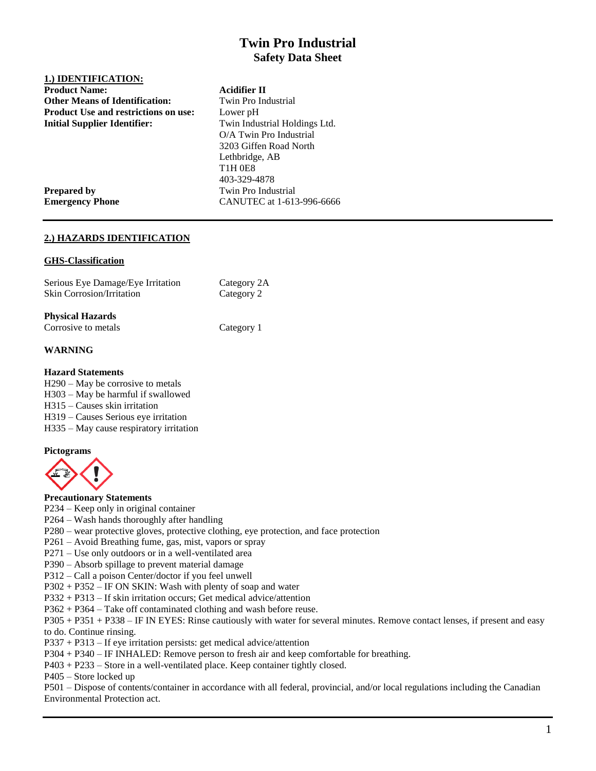# **Twin Pro Industrial Safety Data Sheet**

## **1.) IDENTIFICATION: Product Name: Acidifier II Other Means of Identification:** Twin Pro Industrial **Product Use and restrictions on use:** Lower pH

**Initial Supplier Identifier:** Twin Industrial Holdings Ltd. O/A Twin Pro Industrial 3203 Giffen Road North Lethbridge, AB T1H 0E8 403-329-4878 **Prepared by** Twin Pro Industrial **Emergency Phone** CANUTEC at 1-613-996-6666

## **2.) HAZARDS IDENTIFICATION**

#### **GHS-Classification**

| Serious Eye Damage/Eye Irritation | Category 2A |
|-----------------------------------|-------------|
| <b>Skin Corrosion/Irritation</b>  | Category 2  |

#### **Physical Hazards**

| Corrosive to metals | Category 1 |
|---------------------|------------|

## **WARNING**

#### **Hazard Statements**

H290 – May be corrosive to metals

H303 – May be harmful if swallowed

H315 – Causes skin irritation

H319 – Causes Serious eye irritation

H335 – May cause respiratory irritation

## **Pictograms**



#### **Precautionary Statements**

P234 – Keep only in original container

- P264 Wash hands thoroughly after handling
- P280 wear protective gloves, protective clothing, eye protection, and face protection
- P261 Avoid Breathing fume, gas, mist, vapors or spray
- P271 Use only outdoors or in a well-ventilated area
- P390 Absorb spillage to prevent material damage
- P312 Call a poison Center/doctor if you feel unwell
- P302 + P352 IF ON SKIN: Wash with plenty of soap and water
- P332 + P313 If skin irritation occurs; Get medical advice/attention
- P362 + P364 Take off contaminated clothing and wash before reuse.

P305 + P351 + P338 – IF IN EYES: Rinse cautiously with water for several minutes. Remove contact lenses, if present and easy to do. Continue rinsing.

- P337 + P313 If eye irritation persists: get medical advice/attention
- P304 + P340 IF INHALED: Remove person to fresh air and keep comfortable for breathing.
- P403 + P233 Store in a well-ventilated place. Keep container tightly closed.
- P405 Store locked up

P501 – Dispose of contents/container in accordance with all federal, provincial, and/or local regulations including the Canadian Environmental Protection act.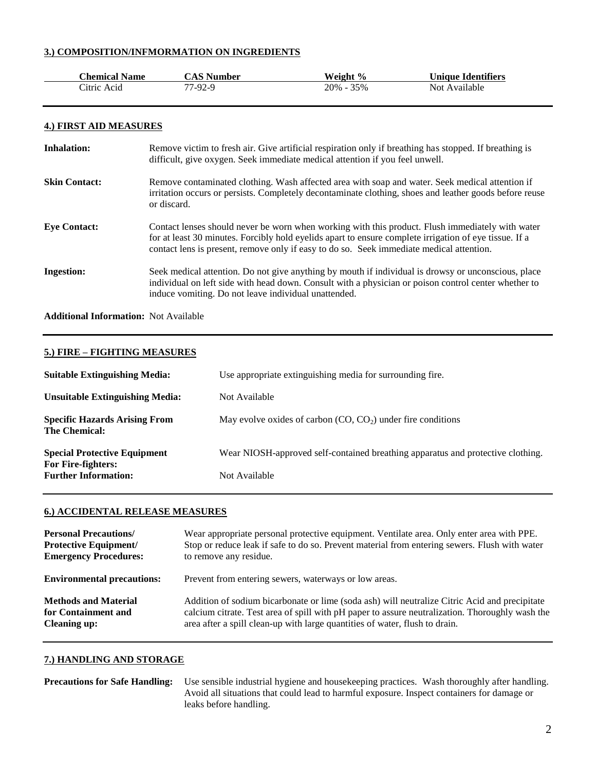### **3.) COMPOSITION/INFMORMATION ON INGREDIENTS**

| <b>Chemical Name</b> | <b>CAS Number</b> | Weight %      | <b>Unique Identifiers</b> |
|----------------------|-------------------|---------------|---------------------------|
| Citric Acid          | 77-92-9           | $20\% - 35\%$ | Not Available             |

#### **4.) FIRST AID MEASURES**

| <b>Inhalation:</b>   | Remove victim to fresh air. Give artificial respiration only if breathing has stopped. If breathing is<br>difficult, give oxygen. Seek immediate medical attention if you feel unwell.                                                                                                                 |
|----------------------|--------------------------------------------------------------------------------------------------------------------------------------------------------------------------------------------------------------------------------------------------------------------------------------------------------|
| <b>Skin Contact:</b> | Remove contaminated clothing. Wash affected area with soap and water. Seek medical attention if<br>irritation occurs or persists. Completely decontaminate clothing, shoes and leather goods before reuse<br>or discard.                                                                               |
| <b>Eve Contact:</b>  | Contact lenses should never be worn when working with this product. Flush immediately with water<br>for at least 30 minutes. Forcibly hold eyelids apart to ensure complete irrigation of eye tissue. If a<br>contact lens is present, remove only if easy to do so. Seek immediate medical attention. |
| <b>Ingestion:</b>    | Seek medical attention. Do not give anything by mouth if individual is drowsy or unconscious, place<br>individual on left side with head down. Consult with a physician or poison control center whether to<br>induce vomiting. Do not leave individual unattended.                                    |

**Additional Information:** Not Available

#### **5.) FIRE – FIGHTING MEASURES**

| <b>Suitable Extinguishing Media:</b>                      | Use appropriate extinguishing media for surrounding fire.                       |
|-----------------------------------------------------------|---------------------------------------------------------------------------------|
| <b>Unsuitable Extinguishing Media:</b>                    | Not Available                                                                   |
| <b>Specific Hazards Arising From</b><br>The Chemical:     | May evolve oxides of carbon $(CO, CO2)$ under fire conditions                   |
| <b>Special Protective Equipment</b><br>For Fire-fighters: | Wear NIOSH-approved self-contained breathing apparatus and protective clothing. |
| <b>Further Information:</b>                               | Not Available                                                                   |

## **6.) ACCIDENTAL RELEASE MEASURES**

| <b>Personal Precautions/</b>      | Wear appropriate personal protective equipment. Ventilate area. Only enter area with PPE.       |
|-----------------------------------|-------------------------------------------------------------------------------------------------|
| <b>Protective Equipment/</b>      | Stop or reduce leak if safe to do so. Prevent material from entering sewers. Flush with water   |
| <b>Emergency Procedures:</b>      | to remove any residue.                                                                          |
| <b>Environmental precautions:</b> | Prevent from entering sewers, waterways or low areas.                                           |
| <b>Methods and Material</b>       | Addition of sodium bicarbonate or lime (soda ash) will neutralize Citric Acid and precipitate   |
| for Containment and               | calcium citrate. Test area of spill with pH paper to assure neutralization. Thoroughly wash the |
| <b>Cleaning up:</b>               | area after a spill clean-up with large quantities of water, flush to drain.                     |

## **7.) HANDLING AND STORAGE**

```
Precautions for Safe Handling: Use sensible industrial hygiene and housekeeping practices. Wash thoroughly after handling. 
                       Avoid all situations that could lead to harmful exposure. Inspect containers for damage or 
                       leaks before handling.
```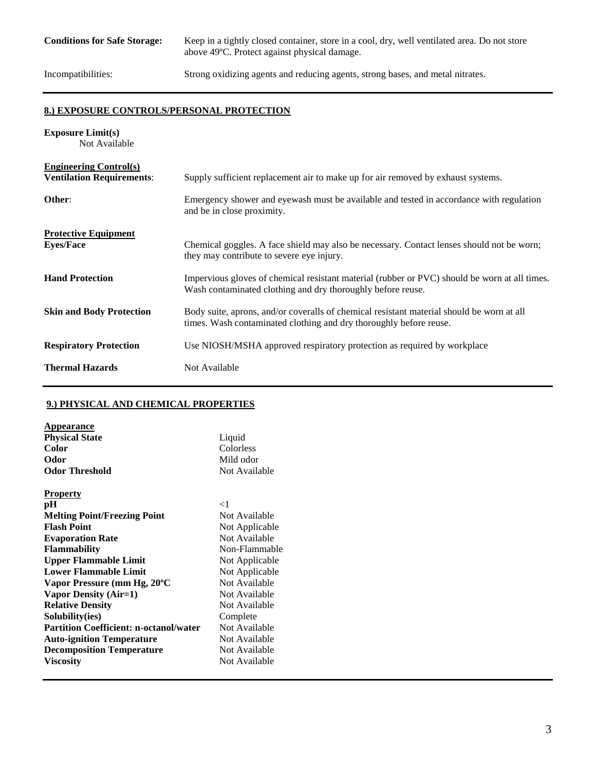**Conditions for Safe Storage:** Keep in a tightly closed container, store in a cool, dry, well ventilated area. Do not store above 49ºC. Protect against physical damage.

Incompatibilities: Strong oxidizing agents and reducing agents, strong bases, and metal nitrates.

## **8.) EXPOSURE CONTROLS/PERSONAL PROTECTION**

| <b>Exposure Limit(s)</b><br>Not Available                         |                                                                                                                                                                 |
|-------------------------------------------------------------------|-----------------------------------------------------------------------------------------------------------------------------------------------------------------|
| <b>Engineering Control(s)</b><br><b>Ventilation Requirements:</b> | Supply sufficient replacement air to make up for air removed by exhaust systems.                                                                                |
| Other:                                                            | Emergency shower and eyewash must be available and tested in accordance with regulation<br>and be in close proximity.                                           |
| <b>Protective Equipment</b><br><b>Eyes/Face</b>                   | Chemical goggles. A face shield may also be necessary. Contact lenses should not be worn;<br>they may contribute to severe eye injury.                          |
| <b>Hand Protection</b>                                            | Impervious gloves of chemical resistant material (rubber or PVC) should be worn at all times.<br>Wash contaminated clothing and dry thoroughly before reuse.    |
| <b>Skin and Body Protection</b>                                   | Body suite, aprons, and/or coveralls of chemical resistant material should be worn at all<br>times. Wash contaminated clothing and dry thoroughly before reuse. |
| <b>Respiratory Protection</b>                                     | Use NIOSH/MSHA approved respiratory protection as required by workplace                                                                                         |
| <b>Thermal Hazards</b>                                            | Not Available                                                                                                                                                   |

## **9.) PHYSICAL AND CHEMICAL PROPERTIES**

| <b>Appearance</b>                             |                |
|-----------------------------------------------|----------------|
| <b>Physical State</b>                         | Liquid         |
| Color                                         | Colorless      |
| Odor                                          | Mild odor      |
| <b>Odor Threshold</b>                         | Not Available  |
| <b>Property</b>                               |                |
| pН                                            | $\lt 1$        |
| <b>Melting Point/Freezing Point</b>           | Not Available  |
| <b>Flash Point</b>                            | Not Applicable |
| <b>Evaporation Rate</b>                       | Not Available  |
| <b>Flammability</b>                           | Non-Flammable  |
| <b>Upper Flammable Limit</b>                  | Not Applicable |
| <b>Lower Flammable Limit</b>                  | Not Applicable |
| Vapor Pressure (mm Hg, 20°C                   | Not Available  |
| <b>Vapor Density (Air=1)</b>                  | Not Available  |
| <b>Relative Density</b>                       | Not Available  |
| Solubility(ies)                               | Complete       |
| <b>Partition Coefficient: n-octanol/water</b> | Not Available  |
| <b>Auto-ignition Temperature</b>              | Not Available  |
| <b>Decomposition Temperature</b>              | Not Available  |
| <b>Viscosity</b>                              | Not Available  |
|                                               |                |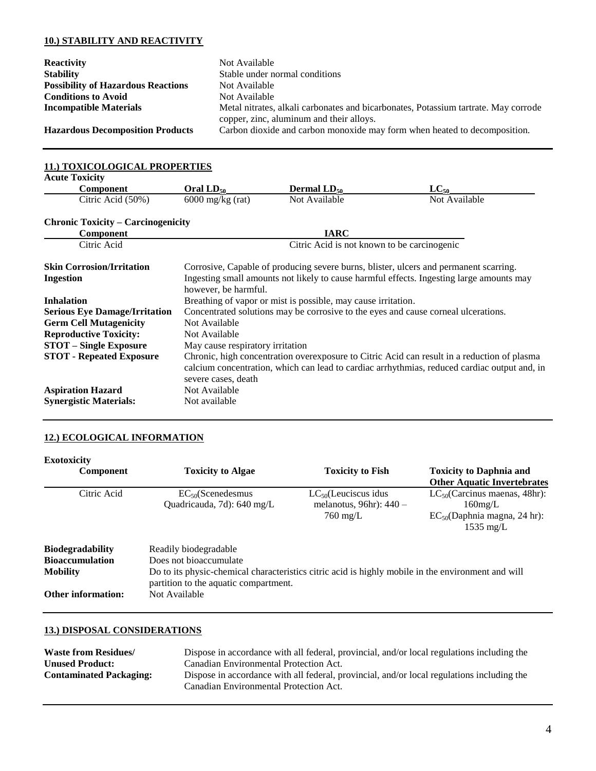## **10.) STABILITY AND REACTIVITY**

| <b>Reactivity</b>                         | Not Available                                                                                                                   |
|-------------------------------------------|---------------------------------------------------------------------------------------------------------------------------------|
| <b>Stability</b>                          | Stable under normal conditions                                                                                                  |
| <b>Possibility of Hazardous Reactions</b> | Not Available                                                                                                                   |
| <b>Conditions to Avoid</b>                | Not Available                                                                                                                   |
| <b>Incompatible Materials</b>             | Metal nitrates, alkali carbonates and bicarbonates, Potassium tartrate. May corrode<br>copper, zinc, aluminum and their alloys. |
| <b>Hazardous Decomposition Products</b>   | Carbon dioxide and carbon monoxide may form when heated to decomposition.                                                       |

| 11.) TOXICOLOGICAL PROPERTIES                               |                                                                                                                                                                                                           |                                                               |                                                                                                                                                                                             |
|-------------------------------------------------------------|-----------------------------------------------------------------------------------------------------------------------------------------------------------------------------------------------------------|---------------------------------------------------------------|---------------------------------------------------------------------------------------------------------------------------------------------------------------------------------------------|
| <b>Acute Toxicity</b>                                       |                                                                                                                                                                                                           |                                                               |                                                                                                                                                                                             |
| <b>Component</b>                                            | Oral $LD_{50}$                                                                                                                                                                                            | <b>Dermal <math>LD_{50}</math></b>                            | $LC_{50}$                                                                                                                                                                                   |
| Citric Acid (50%)                                           | $6000 \text{ mg/kg}$ (rat)                                                                                                                                                                                | Not Available                                                 | Not Available                                                                                                                                                                               |
| <b>Chronic Toxicity – Carcinogenicity</b>                   |                                                                                                                                                                                                           |                                                               |                                                                                                                                                                                             |
| <b>Component</b>                                            |                                                                                                                                                                                                           | <b>IARC</b>                                                   |                                                                                                                                                                                             |
| Citric Acid                                                 |                                                                                                                                                                                                           | Citric Acid is not known to be carcinogenic                   |                                                                                                                                                                                             |
| <b>Skin Corrosion/Irritation</b><br>Ingestion               | Corrosive, Capable of producing severe burns, blister, ulcers and permanent scarring.<br>Ingesting small amounts not likely to cause harmful effects. Ingesting large amounts may<br>however, be harmful. |                                                               |                                                                                                                                                                                             |
| <b>Inhalation</b>                                           |                                                                                                                                                                                                           | Breathing of vapor or mist is possible, may cause irritation. |                                                                                                                                                                                             |
| <b>Serious Eye Damage/Irritation</b>                        | Concentrated solutions may be corrosive to the eyes and cause corneal ulcerations.                                                                                                                        |                                                               |                                                                                                                                                                                             |
| <b>Germ Cell Mutagenicity</b>                               | Not Available                                                                                                                                                                                             |                                                               |                                                                                                                                                                                             |
| <b>Reproductive Toxicity:</b>                               | Not Available                                                                                                                                                                                             |                                                               |                                                                                                                                                                                             |
| <b>STOT</b> – Single Exposure                               | May cause respiratory irritation                                                                                                                                                                          |                                                               |                                                                                                                                                                                             |
| <b>STOT - Repeated Exposure</b><br><b>Aspiration Hazard</b> | severe cases, death<br>Not Available                                                                                                                                                                      |                                                               | Chronic, high concentration overexposure to Citric Acid can result in a reduction of plasma<br>calcium concentration, which can lead to cardiac arrhythmias, reduced cardiac output and, in |
| <b>Synergistic Materials:</b>                               | Not available                                                                                                                                                                                             |                                                               |                                                                                                                                                                                             |

## **12.) ECOLOGICAL INFORMATION**

| <b>Exotoxicity</b><br><b>Component</b> | <b>Toxicity to Algae</b>                                                                                                                    | <b>Toxicity to Fish</b>                                                      | <b>Toxicity to Daphnia and</b><br><b>Other Aquatic Invertebrates</b>                                         |
|----------------------------------------|---------------------------------------------------------------------------------------------------------------------------------------------|------------------------------------------------------------------------------|--------------------------------------------------------------------------------------------------------------|
| Citric Acid                            | $EC_{50}$ (Scenedesmus<br>Quadricauda, 7d): 640 mg/L                                                                                        | $LC_{50}$ (Leuciscus idus<br>melanotus, 96hr): $440 -$<br>$760 \text{ mg/L}$ | $LC_{50}$ (Carcinus maenas, 48hr):<br>$160$ mg/L<br>$EC_{50}$ (Daphnia magna, 24 hr):<br>$1535 \text{ mg/L}$ |
| <b>Biodegradability</b>                | Readily biodegradable                                                                                                                       |                                                                              |                                                                                                              |
| <b>Bioaccumulation</b>                 | Does not bioaccumulate                                                                                                                      |                                                                              |                                                                                                              |
| <b>Mobility</b>                        | Do to its physic-chemical characteristics citric acid is highly mobile in the environment and will<br>partition to the aquatic compartment. |                                                                              |                                                                                                              |
| <b>Other information:</b>              | Not Available                                                                                                                               |                                                                              |                                                                                                              |

## **13.) DISPOSAL CONSIDERATIONS**

| <b>Waste from Residues</b> /   | Dispose in accordance with all federal, provincial, and/or local regulations including the                                           |
|--------------------------------|--------------------------------------------------------------------------------------------------------------------------------------|
| <b>Unused Product:</b>         | Canadian Environmental Protection Act.                                                                                               |
| <b>Contaminated Packaging:</b> | Dispose in accordance with all federal, provincial, and/or local regulations including the<br>Canadian Environmental Protection Act. |